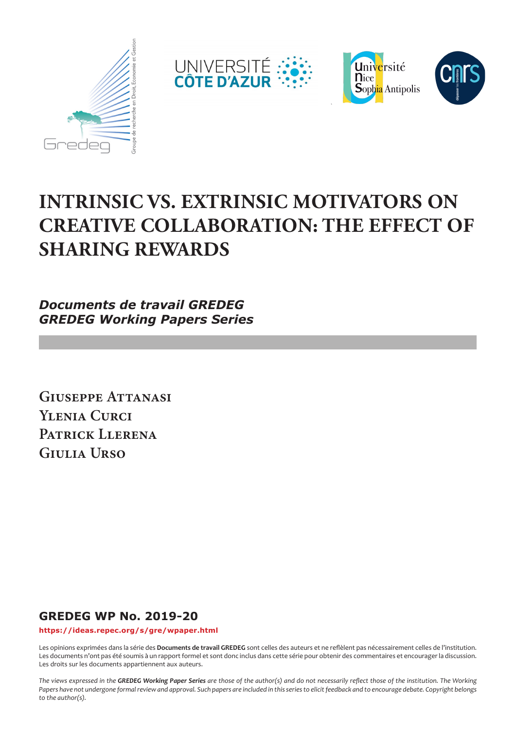







# **INTRINSIC VS. EXTRINSIC MOTIVATORS ON CREATIVE COLLABORATION: THE EFFECT OF SHARING REWARDS**

*Documents de travail GREDEG GREDEG Working Papers Series*

**Giuseppe Attanasi Ylenia Curci Patrick Llerena Giulia Urso**

# **GREDEG WP No. 2019-20**

**https://ideas.repec.org/s/gre/wpaper.html**

Les opinions exprimées dans la série des **Documents de travail GREDEG** sont celles des auteurs et ne reflèlent pas nécessairement celles de l'institution. Les documents n'ont pas été soumis à un rapport formel et sont donc inclus dans cette série pour obtenir des commentaires et encourager la discussion. Les droits sur les documents appartiennent aux auteurs.

*The views expressed in the GREDEG Working Paper Series are those of the author(s) and do not necessarily reflect those of the institution. The Working Papers have not undergone formal review and approval. Such papers are included in this series to elicit feedback and to encourage debate. Copyright belongs to the author(s).*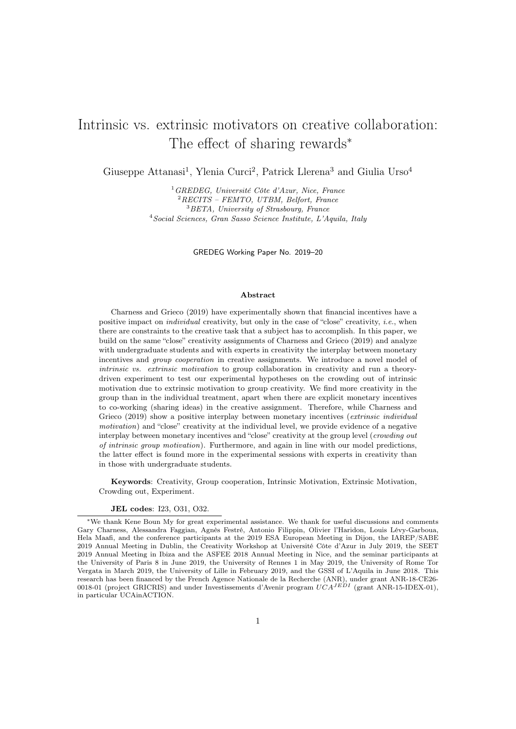# <span id="page-1-0"></span>Intrinsic vs. extrinsic motivators on creative collaboration: The effect of sharing rewards<sup>∗</sup>

Giuseppe Attanasi<sup>1</sup>, Ylenia Curci<sup>2</sup>, Patrick Llerena<sup>3</sup> and Giulia Urso<sup>4</sup>

<sup>1</sup>GREDEG, Université Côte d'Azur, Nice, France RECITS – FEMTO, UTBM, Belfort, France BETA, University of Strasbourg, France Social Sciences, Gran Sasso Science Institute, L'Aquila, Italy

GREDEG Working Paper No. 2019–20

#### Abstract

Charness and Grieco (2019) have experimentally shown that financial incentives have a positive impact on individual creativity, but only in the case of "close" creativity, i.e., when there are constraints to the creative task that a subject has to accomplish. In this paper, we build on the same "close" creativity assignments of Charness and Grieco (2019) and analyze with undergraduate students and with experts in creativity the interplay between monetary incentives and group cooperation in creative assignments. We introduce a novel model of intrinsic vs. extrinsic motivation to group collaboration in creativity and run a theorydriven experiment to test our experimental hypotheses on the crowding out of intrinsic motivation due to extrinsic motivation to group creativity. We find more creativity in the group than in the individual treatment, apart when there are explicit monetary incentives to co-working (sharing ideas) in the creative assignment. Therefore, while Charness and Grieco (2019) show a positive interplay between monetary incentives (*extrinsic individual* motivation) and "close" creativity at the individual level, we provide evidence of a negative interplay between monetary incentives and "close" creativity at the group level (crowding out of intrinsic group motivation). Furthermore, and again in line with our model predictions, the latter effect is found more in the experimental sessions with experts in creativity than in those with undergraduate students.

Keywords: Creativity, Group cooperation, Intrinsic Motivation, Extrinsic Motivation, Crowding out, Experiment.

#### JEL codes: I23, O31, O32.

<sup>∗</sup>We thank Kene Boun My for great experimental assistance. We thank for useful discussions and comments Gary Charness, Alessandra Faggian, Agnès Festré, Antonio Filippin, Olivier l'Haridon, Louis Lévy-Garboua, Hela Maafi, and the conference participants at the 2019 ESA European Meeting in Dijon, the IAREP/SABE 2019 Annual Meeting in Dublin, the Creativity Workshop at Université Côte d'Azur in July 2019, the SEET 2019 Annual Meeting in Ibiza and the ASFEE 2018 Annual Meeting in Nice, and the seminar participants at the University of Paris 8 in June 2019, the University of Rennes 1 in May 2019, the University of Rome Tor Vergata in March 2019, the University of Lille in February 2019, and the GSSI of L'Aquila in June 2018. This research has been financed by the French Agence Nationale de la Recherche (ANR), under grant ANR-18-CE26- 0018-01 (project GRICRIS) and under Investissements d'Avenir program  $UCA<sup>JEDI</sup>$  (grant ANR-15-IDEX-01), in particular UCAinACTION.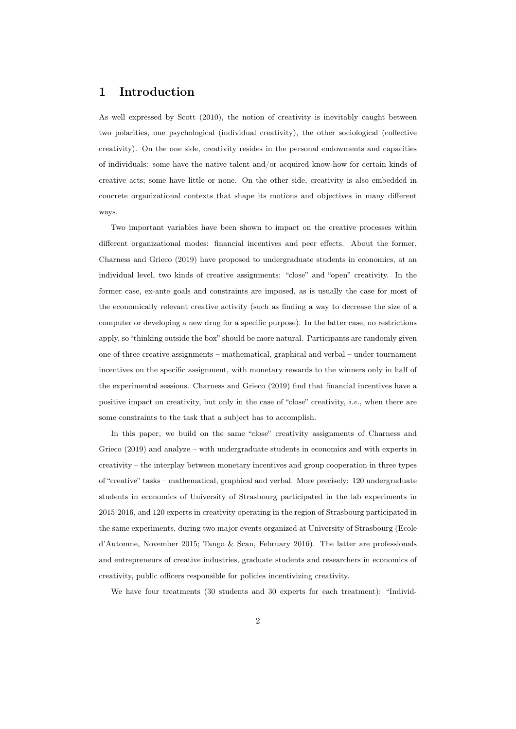### 1 Introduction

As well expressed by Scott (2010), the notion of creativity is inevitably caught between two polarities, one psychological (individual creativity), the other sociological (collective creativity). On the one side, creativity resides in the personal endowments and capacities of individuals: some have the native talent and/or acquired know-how for certain kinds of creative acts; some have little or none. On the other side, creativity is also embedded in concrete organizational contexts that shape its motions and objectives in many different ways.

Two important variables have been shown to impact on the creative processes within different organizational modes: financial incentives and peer effects. About the former, Charness and Grieco (2019) have proposed to undergraduate students in economics, at an individual level, two kinds of creative assignments: "close" and "open" creativity. In the former case, ex-ante goals and constraints are imposed, as is usually the case for most of the economically relevant creative activity (such as finding a way to decrease the size of a computer or developing a new drug for a specific purpose). In the latter case, no restrictions apply, so "thinking outside the box" should be more natural. Participants are randomly given one of three creative assignments – mathematical, graphical and verbal – under tournament incentives on the specific assignment, with monetary rewards to the winners only in half of the experimental sessions. Charness and Grieco (2019) find that financial incentives have a positive impact on creativity, but only in the case of "close" creativity, *i.e.*, when there are some constraints to the task that a subject has to accomplish.

In this paper, we build on the same "close" creativity assignments of Charness and Grieco (2019) and analyze – with undergraduate students in economics and with experts in creativity – the interplay between monetary incentives and group cooperation in three types of "creative" tasks – mathematical, graphical and verbal. More precisely: 120 undergraduate students in economics of University of Strasbourg participated in the lab experiments in 2015-2016, and 120 experts in creativity operating in the region of Strasbourg participated in the same experiments, during two major events organized at University of Strasbourg (Ecole d'Automne, November 2015; Tango & Scan, February 2016). The latter are professionals and entrepreneurs of creative industries, graduate students and researchers in economics of creativity, public officers responsible for policies incentivizing creativity.

We have four treatments (30 students and 30 experts for each treatment): "Individ-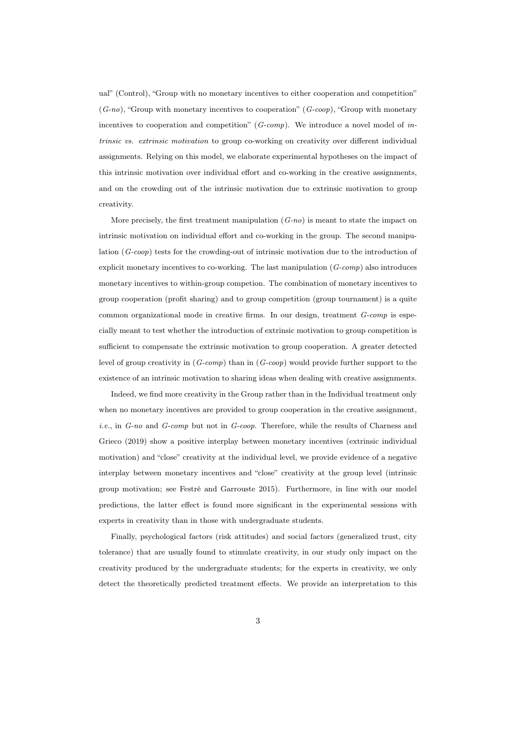ual" (Control), "Group with no monetary incentives to either cooperation and competition"  $(G-no)$ , "Group with monetary incentives to cooperation"  $(G-coop)$ , "Group with monetary incentives to cooperation and competition"  $(G\text{-}comp)$ . We introduce a novel model of intrinsic vs. extrinsic motivation to group co-working on creativity over different individual assignments. Relying on this model, we elaborate experimental hypotheses on the impact of this intrinsic motivation over individual effort and co-working in the creative assignments, and on the crowding out of the intrinsic motivation due to extrinsic motivation to group creativity.

More precisely, the first treatment manipulation  $(G-no)$  is meant to state the impact on intrinsic motivation on individual effort and co-working in the group. The second manipulation (G-coop) tests for the crowding-out of intrinsic motivation due to the introduction of explicit monetary incentives to co-working. The last manipulation  $(G\text{-}comp)$  also introduces monetary incentives to within-group competion. The combination of monetary incentives to group cooperation (profit sharing) and to group competition (group tournament) is a quite common organizational mode in creative firms. In our design, treatment G-comp is especially meant to test whether the introduction of extrinsic motivation to group competition is sufficient to compensate the extrinsic motivation to group cooperation. A greater detected level of group creativity in  $(G\text{-}comp)$  than in  $(G\text{-}coop)$  would provide further support to the existence of an intrinsic motivation to sharing ideas when dealing with creative assignments.

Indeed, we find more creativity in the Group rather than in the Individual treatment only when no monetary incentives are provided to group cooperation in the creative assignment, i.e., in G-no and G-comp but not in G-coop. Therefore, while the results of Charness and Grieco (2019) show a positive interplay between monetary incentives (extrinsic individual motivation) and "close" creativity at the individual level, we provide evidence of a negative interplay between monetary incentives and "close" creativity at the group level (intrinsic group motivation; see Festré and Garrouste 2015). Furthermore, in line with our model predictions, the latter effect is found more significant in the experimental sessions with experts in creativity than in those with undergraduate students.

Finally, psychological factors (risk attitudes) and social factors (generalized trust, city tolerance) that are usually found to stimulate creativity, in our study only impact on the creativity produced by the undergraduate students; for the experts in creativity, we only detect the theoretically predicted treatment effects. We provide an interpretation to this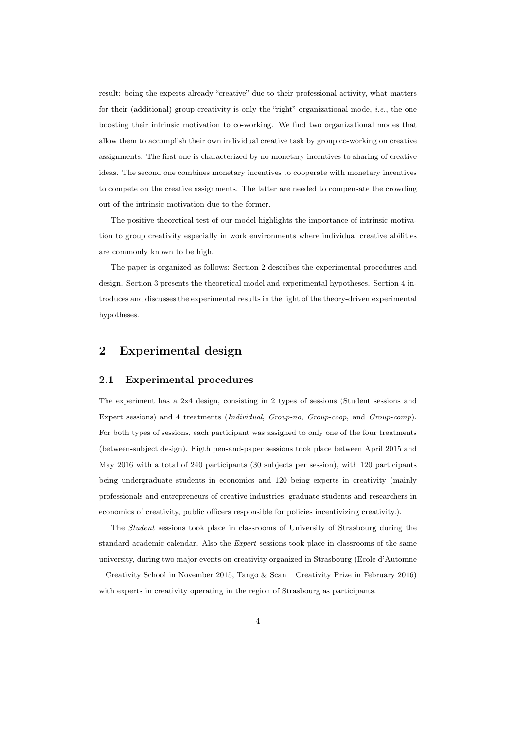result: being the experts already "creative" due to their professional activity, what matters for their (additional) group creativity is only the "right" organizational mode, *i.e.*, the one boosting their intrinsic motivation to co-working. We find two organizational modes that allow them to accomplish their own individual creative task by group co-working on creative assignments. The first one is characterized by no monetary incentives to sharing of creative ideas. The second one combines monetary incentives to cooperate with monetary incentives to compete on the creative assignments. The latter are needed to compensate the crowding out of the intrinsic motivation due to the former.

The positive theoretical test of our model highlights the importance of intrinsic motivation to group creativity especially in work environments where individual creative abilities are commonly known to be high.

The paper is organized as follows: Section 2 describes the experimental procedures and design. Section 3 presents the theoretical model and experimental hypotheses. Section 4 introduces and discusses the experimental results in the light of the theory-driven experimental hypotheses.

# 2 Experimental design

#### 2.1 Experimental procedures

The experiment has a 2x4 design, consisting in 2 types of sessions (Student sessions and Expert sessions) and 4 treatments (*Individual, Group-no, Group-coop*, and *Group-comp*). For both types of sessions, each participant was assigned to only one of the four treatments (between-subject design). Eigth pen-and-paper sessions took place between April 2015 and May 2016 with a total of 240 participants (30 subjects per session), with 120 participants being undergraduate students in economics and 120 being experts in creativity (mainly professionals and entrepreneurs of creative industries, graduate students and researchers in economics of creativity, public officers responsible for policies incentivizing creativity.).

The Student sessions took place in classrooms of University of Strasbourg during the standard academic calendar. Also the Expert sessions took place in classrooms of the same university, during two major events on creativity organized in Strasbourg (Ecole d'Automne – Creativity School in November 2015, Tango & Scan – Creativity Prize in February 2016) with experts in creativity operating in the region of Strasbourg as participants.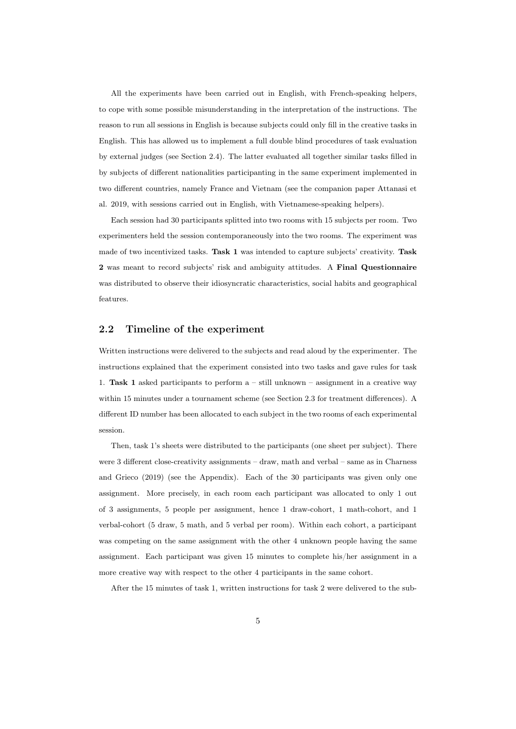All the experiments have been carried out in English, with French-speaking helpers, to cope with some possible misunderstanding in the interpretation of the instructions. The reason to run all sessions in English is because subjects could only fill in the creative tasks in English. This has allowed us to implement a full double blind procedures of task evaluation by external judges (see Section 2.4). The latter evaluated all together similar tasks filled in by subjects of different nationalities participanting in the same experiment implemented in two different countries, namely France and Vietnam (see the companion paper Attanasi et al. 2019, with sessions carried out in English, with Vietnamese-speaking helpers).

Each session had 30 participants splitted into two rooms with 15 subjects per room. Two experimenters held the session contemporaneously into the two rooms. The experiment was made of two incentivized tasks. Task 1 was intended to capture subjects' creativity. Task 2 was meant to record subjects' risk and ambiguity attitudes. A Final Questionnaire was distributed to observe their idiosyncratic characteristics, social habits and geographical features.

#### 2.2 Timeline of the experiment

Written instructions were delivered to the subjects and read aloud by the experimenter. The instructions explained that the experiment consisted into two tasks and gave rules for task 1. Task 1 asked participants to perform  $a - \text{still unknown} - \text{assignment}$  in a creative way within 15 minutes under a tournament scheme (see Section 2.3 for treatment differences). A different ID number has been allocated to each subject in the two rooms of each experimental session.

Then, task 1's sheets were distributed to the participants (one sheet per subject). There were 3 different close-creativity assignments – draw, math and verbal – same as in Charness and Grieco (2019) (see the Appendix). Each of the 30 participants was given only one assignment. More precisely, in each room each participant was allocated to only 1 out of 3 assignments, 5 people per assignment, hence 1 draw-cohort, 1 math-cohort, and 1 verbal-cohort (5 draw, 5 math, and 5 verbal per room). Within each cohort, a participant was competing on the same assignment with the other 4 unknown people having the same assignment. Each participant was given 15 minutes to complete his/her assignment in a more creative way with respect to the other 4 participants in the same cohort.

After the 15 minutes of task 1, written instructions for task 2 were delivered to the sub-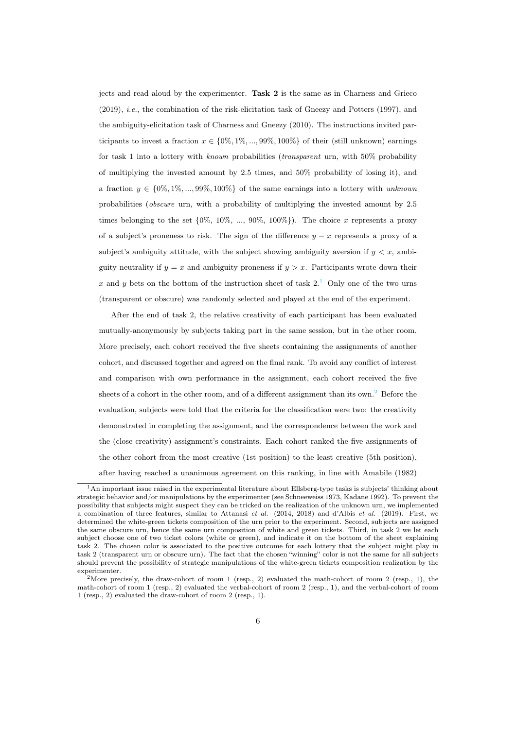jects and read aloud by the experimenter. Task 2 is the same as in Charness and Grieco (2019), i.e., the combination of the risk-elicitation task of Gneezy and Potters (1997), and the ambiguity-elicitation task of Charness and Gneezy (2010). The instructions invited participants to invest a fraction  $x \in \{0\%, 1\%, ..., 99\%, 100\%\}\$  of their (still unknown) earnings for task 1 into a lottery with *known* probabilities *(transparent urn, with*  $50\%$  probability of multiplying the invested amount by  $2.5$  times, and  $50\%$  probability of losing it), and a fraction  $y \in \{0\%, 1\%, ..., 99\%, 100\%\}\$  of the same earnings into a lottery with unknown probabilities (obscure urn, with a probability of multiplying the invested amount by 2.5 times belonging to the set  $\{0\%, 10\%, ..., 90\%, 100\%\}\)$ . The choice x represents a proxy of a subject's proneness to risk. The sign of the difference  $y - x$  represents a proxy of a subject's ambiguity attitude, with the subject showing ambiguity aversion if  $y < x$ , ambiguity neutrality if  $y = x$  and ambiguity proneness if  $y > x$ . Participants wrote down their x and y bets on the bottom of the instruction sheet of task  $2<sup>1</sup>$  $2<sup>1</sup>$  $2<sup>1</sup>$  Only one of the two urns (transparent or obscure) was randomly selected and played at the end of the experiment.

After the end of task 2, the relative creativity of each participant has been evaluated mutually-anonymously by subjects taking part in the same session, but in the other room. More precisely, each cohort received the five sheets containing the assignments of another cohort, and discussed together and agreed on the final rank. To avoid any conflict of interest and comparison with own performance in the assignment, each cohort received the five sheets of a cohort in the other room, and of a different assignment than its own.<sup>[2](#page-1-0)</sup> Before the evaluation, subjects were told that the criteria for the classification were two: the creativity demonstrated in completing the assignment, and the correspondence between the work and the (close creativity) assignment's constraints. Each cohort ranked the five assignments of the other cohort from the most creative (1st position) to the least creative (5th position), after having reached a unanimous agreement on this ranking, in line with Amabile (1982)

<sup>1</sup>An important issue raised in the experimental literature about Ellsberg-type tasks is subjects' thinking about strategic behavior and/or manipulations by the experimenter (see Schneeweiss 1973, Kadane 1992). To prevent the possibility that subjects might suspect they can be tricked on the realization of the unknown urn, we implemented a combination of three features, similar to Attanasi et al. (2014, 2018) and d'Albis et al. (2019). First, we determined the white-green tickets composition of the urn prior to the experiment. Second, subjects are assigned the same obscure urn, hence the same urn composition of white and green tickets. Third, in task 2 we let each subject choose one of two ticket colors (white or green), and indicate it on the bottom of the sheet explaining task 2. The chosen color is associated to the positive outcome for each lottery that the subject might play in task 2 (transparent urn or obscure urn). The fact that the chosen "winning" color is not the same for all subjects should prevent the possibility of strategic manipulations of the white-green tickets composition realization by the experimenter.

<sup>2</sup>More precisely, the draw-cohort of room 1 (resp., 2) evaluated the math-cohort of room 2 (resp., 1), the math-cohort of room 1 (resp., 2) evaluated the verbal-cohort of room 2 (resp., 1), and the verbal-cohort of room 1 (resp., 2) evaluated the draw-cohort of room 2 (resp., 1).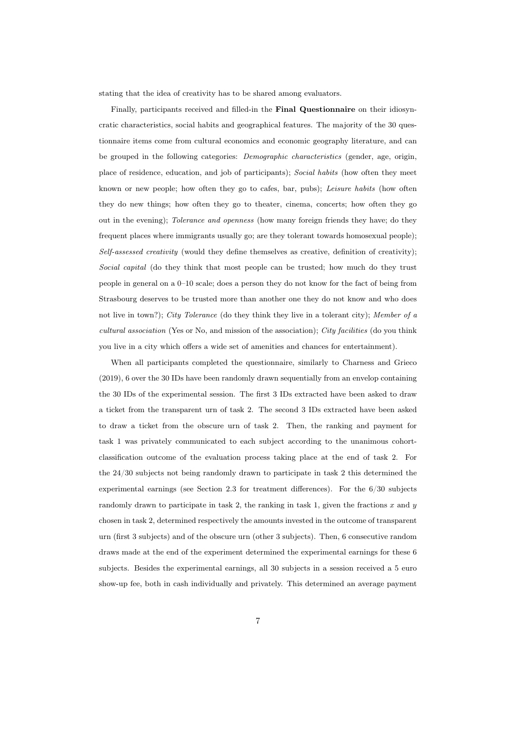stating that the idea of creativity has to be shared among evaluators.

Finally, participants received and filled-in the Final Questionnaire on their idiosyncratic characteristics, social habits and geographical features. The majority of the 30 questionnaire items come from cultural economics and economic geography literature, and can be grouped in the following categories: Demographic characteristics (gender, age, origin, place of residence, education, and job of participants); Social habits (how often they meet known or new people; how often they go to cafes, bar, pubs); Leisure habits (how often they do new things; how often they go to theater, cinema, concerts; how often they go out in the evening); Tolerance and openness (how many foreign friends they have; do they frequent places where immigrants usually go; are they tolerant towards homosexual people); Self-assessed creativity (would they define themselves as creative, definition of creativity); Social capital (do they think that most people can be trusted; how much do they trust people in general on a 0–10 scale; does a person they do not know for the fact of being from Strasbourg deserves to be trusted more than another one they do not know and who does not live in town?); City Tolerance (do they think they live in a tolerant city); Member of a cultural association (Yes or No, and mission of the association); City facilities (do you think you live in a city which offers a wide set of amenities and chances for entertainment).

When all participants completed the questionnaire, similarly to Charness and Grieco (2019), 6 over the 30 IDs have been randomly drawn sequentially from an envelop containing the 30 IDs of the experimental session. The first 3 IDs extracted have been asked to draw a ticket from the transparent urn of task 2. The second 3 IDs extracted have been asked to draw a ticket from the obscure urn of task 2. Then, the ranking and payment for task 1 was privately communicated to each subject according to the unanimous cohortclassification outcome of the evaluation process taking place at the end of task 2. For the 24/30 subjects not being randomly drawn to participate in task 2 this determined the experimental earnings (see Section 2.3 for treatment differences). For the 6/30 subjects randomly drawn to participate in task 2, the ranking in task 1, given the fractions  $x$  and  $y$ chosen in task 2, determined respectively the amounts invested in the outcome of transparent urn (first 3 subjects) and of the obscure urn (other 3 subjects). Then, 6 consecutive random draws made at the end of the experiment determined the experimental earnings for these 6 subjects. Besides the experimental earnings, all 30 subjects in a session received a 5 euro show-up fee, both in cash individually and privately. This determined an average payment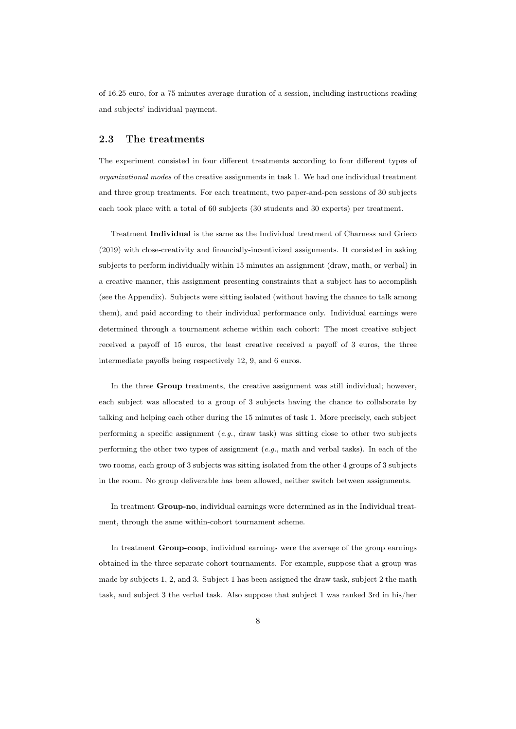of 16.25 euro, for a 75 minutes average duration of a session, including instructions reading and subjects' individual payment.

#### 2.3 The treatments

The experiment consisted in four different treatments according to four different types of organizational modes of the creative assignments in task 1. We had one individual treatment and three group treatments. For each treatment, two paper-and-pen sessions of 30 subjects each took place with a total of 60 subjects (30 students and 30 experts) per treatment.

Treatment Individual is the same as the Individual treatment of Charness and Grieco (2019) with close-creativity and financially-incentivized assignments. It consisted in asking subjects to perform individually within 15 minutes an assignment (draw, math, or verbal) in a creative manner, this assignment presenting constraints that a subject has to accomplish (see the Appendix). Subjects were sitting isolated (without having the chance to talk among them), and paid according to their individual performance only. Individual earnings were determined through a tournament scheme within each cohort: The most creative subject received a payoff of 15 euros, the least creative received a payoff of 3 euros, the three intermediate payoffs being respectively 12, 9, and 6 euros.

In the three Group treatments, the creative assignment was still individual; however, each subject was allocated to a group of 3 subjects having the chance to collaborate by talking and helping each other during the 15 minutes of task 1. More precisely, each subject performing a specific assignment (e.g., draw task) was sitting close to other two subjects performing the other two types of assignment  $(e.g., \text{ math and verbal tasks})$ . In each of the two rooms, each group of 3 subjects was sitting isolated from the other 4 groups of 3 subjects in the room. No group deliverable has been allowed, neither switch between assignments.

In treatment Group-no, individual earnings were determined as in the Individual treatment, through the same within-cohort tournament scheme.

In treatment Group-coop, individual earnings were the average of the group earnings obtained in the three separate cohort tournaments. For example, suppose that a group was made by subjects 1, 2, and 3. Subject 1 has been assigned the draw task, subject 2 the math task, and subject 3 the verbal task. Also suppose that subject 1 was ranked 3rd in his/her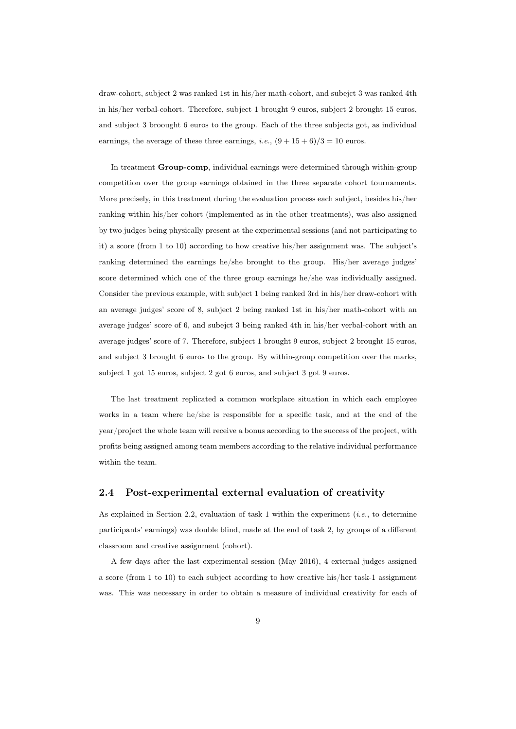draw-cohort, subject 2 was ranked 1st in his/her math-cohort, and subejct 3 was ranked 4th in his/her verbal-cohort. Therefore, subject 1 brought 9 euros, subject 2 brought 15 euros, and subject 3 broought 6 euros to the group. Each of the three subjects got, as individual earnings, the average of these three earnings, *i.e.*,  $(9 + 15 + 6)/3 = 10$  euros.

In treatment Group-comp, individual earnings were determined through within-group competition over the group earnings obtained in the three separate cohort tournaments. More precisely, in this treatment during the evaluation process each subject, besides his/her ranking within his/her cohort (implemented as in the other treatments), was also assigned by two judges being physically present at the experimental sessions (and not participating to it) a score (from 1 to 10) according to how creative his/her assignment was. The subject's ranking determined the earnings he/she brought to the group. His/her average judges' score determined which one of the three group earnings he/she was individually assigned. Consider the previous example, with subject 1 being ranked 3rd in his/her draw-cohort with an average judges' score of 8, subject 2 being ranked 1st in his/her math-cohort with an average judges' score of 6, and subejct 3 being ranked 4th in his/her verbal-cohort with an average judges' score of 7. Therefore, subject 1 brought 9 euros, subject 2 brought 15 euros, and subject 3 brought 6 euros to the group. By within-group competition over the marks, subject 1 got 15 euros, subject 2 got 6 euros, and subject 3 got 9 euros.

The last treatment replicated a common workplace situation in which each employee works in a team where he/she is responsible for a specific task, and at the end of the year/project the whole team will receive a bonus according to the success of the project, with profits being assigned among team members according to the relative individual performance within the team.

#### 2.4 Post-experimental external evaluation of creativity

As explained in Section 2.2, evaluation of task 1 within the experiment (i.e., to determine participants' earnings) was double blind, made at the end of task 2, by groups of a different classroom and creative assignment (cohort).

A few days after the last experimental session (May 2016), 4 external judges assigned a score (from 1 to 10) to each subject according to how creative his/her task-1 assignment was. This was necessary in order to obtain a measure of individual creativity for each of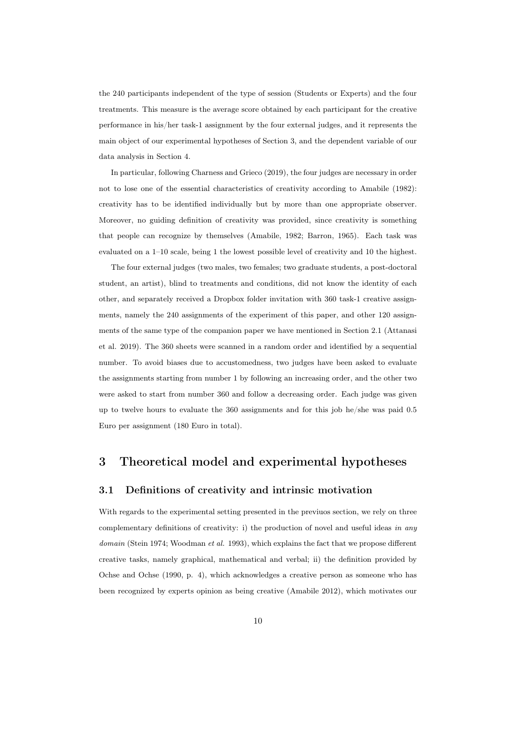the 240 participants independent of the type of session (Students or Experts) and the four treatments. This measure is the average score obtained by each participant for the creative performance in his/her task-1 assignment by the four external judges, and it represents the main object of our experimental hypotheses of Section 3, and the dependent variable of our data analysis in Section 4.

In particular, following Charness and Grieco (2019), the four judges are necessary in order not to lose one of the essential characteristics of creativity according to Amabile (1982): creativity has to be identified individually but by more than one appropriate observer. Moreover, no guiding definition of creativity was provided, since creativity is something that people can recognize by themselves (Amabile, 1982; Barron, 1965). Each task was evaluated on a 1–10 scale, being 1 the lowest possible level of creativity and 10 the highest.

The four external judges (two males, two females; two graduate students, a post-doctoral student, an artist), blind to treatments and conditions, did not know the identity of each other, and separately received a Dropbox folder invitation with 360 task-1 creative assignments, namely the 240 assignments of the experiment of this paper, and other 120 assignments of the same type of the companion paper we have mentioned in Section 2.1 (Attanasi et al. 2019). The 360 sheets were scanned in a random order and identified by a sequential number. To avoid biases due to accustomedness, two judges have been asked to evaluate the assignments starting from number 1 by following an increasing order, and the other two were asked to start from number 360 and follow a decreasing order. Each judge was given up to twelve hours to evaluate the 360 assignments and for this job he/she was paid 0.5 Euro per assignment (180 Euro in total).

# 3 Theoretical model and experimental hypotheses

#### 3.1 Definitions of creativity and intrinsic motivation

With regards to the experimental setting presented in the previuos section, we rely on three complementary definitions of creativity: i) the production of novel and useful ideas in any domain (Stein 1974; Woodman et al. 1993), which explains the fact that we propose different creative tasks, namely graphical, mathematical and verbal; ii) the definition provided by Ochse and Ochse (1990, p. 4), which acknowledges a creative person as someone who has been recognized by experts opinion as being creative (Amabile 2012), which motivates our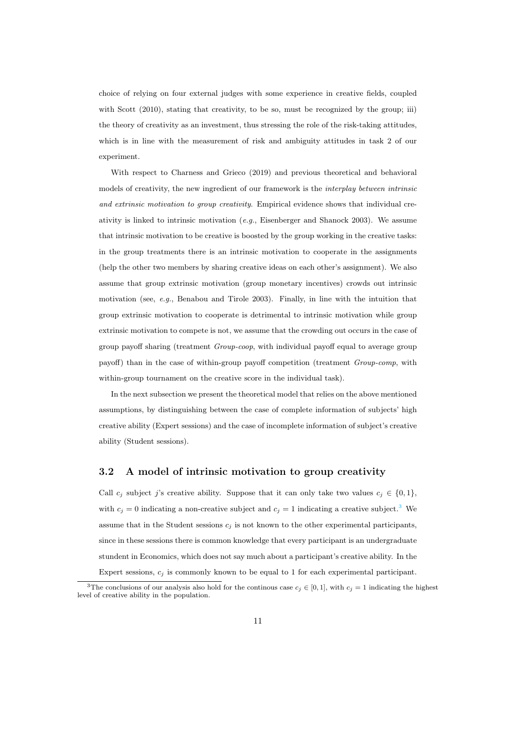choice of relying on four external judges with some experience in creative fields, coupled with Scott (2010), stating that creativity, to be so, must be recognized by the group; iii) the theory of creativity as an investment, thus stressing the role of the risk-taking attitudes, which is in line with the measurement of risk and ambiguity attitudes in task 2 of our experiment.

With respect to Charness and Grieco (2019) and previous theoretical and behavioral models of creativity, the new ingredient of our framework is the *interplay between intrinsic* and extrinsic motivation to group creativity. Empirical evidence shows that individual creativity is linked to intrinsic motivation  $(e.g.,$  Eisenberger and Shanock 2003). We assume that intrinsic motivation to be creative is boosted by the group working in the creative tasks: in the group treatments there is an intrinsic motivation to cooperate in the assignments (help the other two members by sharing creative ideas on each other's assignment). We also assume that group extrinsic motivation (group monetary incentives) crowds out intrinsic motivation (see, e.g., Benabou and Tirole 2003). Finally, in line with the intuition that group extrinsic motivation to cooperate is detrimental to intrinsic motivation while group extrinsic motivation to compete is not, we assume that the crowding out occurs in the case of group payoff sharing (treatment Group-coop, with individual payoff equal to average group payoff) than in the case of within-group payoff competition (treatment Group-comp, with within-group tournament on the creative score in the individual task).

In the next subsection we present the theoretical model that relies on the above mentioned assumptions, by distinguishing between the case of complete information of subjects' high creative ability (Expert sessions) and the case of incomplete information of subject's creative ability (Student sessions).

#### 3.2 A model of intrinsic motivation to group creativity

Call  $c_j$  subject j's creative ability. Suppose that it can only take two values  $c_j \in \{0,1\}$ , with  $c_j = 0$  indicating a non-creative subject and  $c_j = 1$  indicating a creative subject.<sup>[3](#page-1-0)</sup> We assume that in the Student sessions  $c_j$  is not known to the other experimental participants, since in these sessions there is common knowledge that every participant is an undergraduate stundent in Economics, which does not say much about a participant's creative ability. In the Expert sessions,  $c_i$  is commonly known to be equal to 1 for each experimental participant.

<sup>&</sup>lt;sup>3</sup>The conclusions of our analysis also hold for the continous case  $c_j \in [0,1]$ , with  $c_j = 1$  indicating the highest level of creative ability in the population.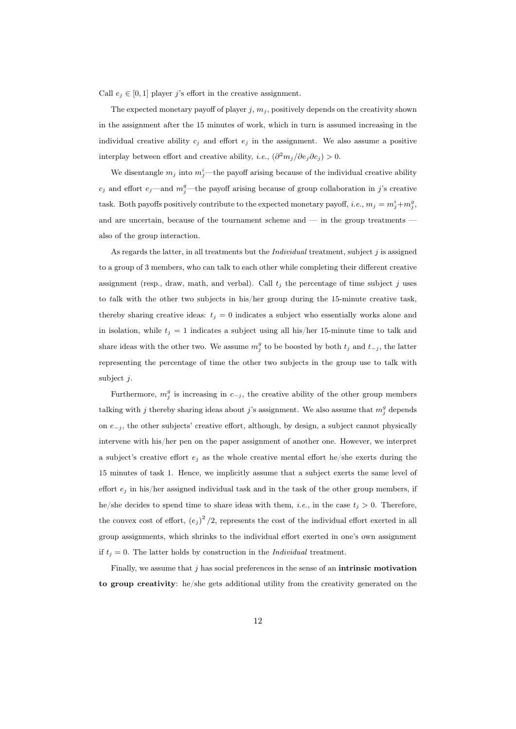Call  $e_i \in [0, 1]$  player j's effort in the creative assignment.

The expected monetary payoff of player  $j, m_j$ , positively depends on the creativity shown in the assignment after the 15 minutes of work, which in turn is assumed increasing in the individual creative ability  $c_j$  and effort  $e_j$  in the assignment. We also assume a positive interplay between effort and creative ability, *i.e.*,  $\left(\frac{\partial^2 m_j}{\partial e_j \partial c_j}\right) > 0$ .

We disentangle  $m_j$  into  $m_j^i$ —the payoff arising because of the individual creative ability  $c_j$  and effort  $e_j$ —and  $m_j^g$ —the payoff arising because of group collaboration in j's creative task. Both payoffs positively contribute to the expected monetary payoff, *i.e.*,  $m_j = m_j^i + m_j^g$ , and are uncertain, because of the tournament scheme and — in the group treatments also of the group interaction.

As regards the latter, in all treatments but the *Individual* treatment, subject  $j$  is assigned to a group of 3 members, who can talk to each other while completing their different creative assignment (resp., draw, math, and verbal). Call  $t_i$  the percentage of time subject j uses to talk with the other two subjects in his/her group during the 15-minute creative task, thereby sharing creative ideas:  $t_j = 0$  indicates a subject who essentially works alone and in isolation, while  $t_j = 1$  indicates a subject using all his/her 15-minute time to talk and share ideas with the other two. We assume  $m_j^g$  to be boosted by both  $t_j$  and  $t_{-j}$ , the latter representing the percentage of time the other two subjects in the group use to talk with subject j.

Furthermore,  $m_j^g$  is increasing in  $c_{-j}$ , the creative ability of the other group members talking with j thereby sharing ideas about j's assignment. We also assume that  $m_j^g$  depends on  $e_{-j}$ , the other subjects' creative effort, although, by design, a subject cannot physically intervene with his/her pen on the paper assignment of another one. However, we interpret a subject's creative effort  $e_i$  as the whole creative mental effort he/she exerts during the 15 minutes of task 1. Hence, we implicitly assume that a subject exerts the same level of effort  $e_j$  in his/her assigned individual task and in the task of the other group members, if he/she decides to spend time to share ideas with them, *i.e.*, in the case  $t_j > 0$ . Therefore, the convex cost of effort,  $(e_j)^2/2$ , represents the cost of the individual effort exerted in all group assignments, which shrinks to the individual effort exerted in one's own assignment if  $t_j = 0$ . The latter holds by construction in the *Individual* treatment.

Finally, we assume that  $j$  has social preferences in the sense of an **intrinsic motivation** to group creativity: he/she gets additional utility from the creativity generated on the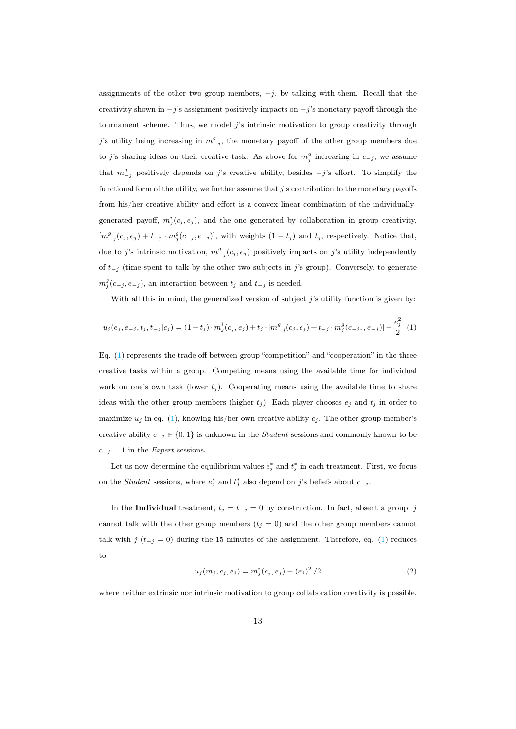assignments of the other two group members,  $-j$ , by talking with them. Recall that the creativity shown in  $-j$ 's assignment positively impacts on  $-j$ 's monetary payoff through the tournament scheme. Thus, we model j's intrinsic motivation to group creativity through j's utility being increasing in  $m_{-j}^g$ , the monetary payoff of the other group members due to j's sharing ideas on their creative task. As above for  $m_j^g$  increasing in  $c_{-j}$ , we assume that  $m_{-j}^g$  positively depends on j's creative ability, besides  $-j$ 's effort. To simplify the functional form of the utility, we further assume that j's contribution to the monetary payoffs from his/her creative ability and effort is a convex linear combination of the individuallygenerated payoff,  $m_j^i(c_j, e_j)$ , and the one generated by collaboration in group creativity,  $[m_{-j}^g(c_j, e_j) + t_{-j} \cdot m_j^g(c_{-j}, e_{-j})]$ , with weights  $(1 - t_j)$  and  $t_j$ , respectively. Notice that, due to j's intrinsic motivation,  $m_{-j}^g(c_j, e_j)$  positively impacts on j's utility independently of  $t_{-j}$  (time spent to talk by the other two subjects in j's group). Conversely, to generate  $m_j^g(c_{-j}, e_{-j})$ , an interaction between  $t_j$  and  $t_{-j}$  is needed.

<span id="page-13-0"></span>With all this in mind, the generalized version of subject  $j$ 's utility function is given by:

$$
u_j(e_j, e_{-j}, t_j, t_{-j}|c_j) = (1 - t_j) \cdot m_j^i(c_j, e_j) + t_j \cdot [m_{-j}^g(c_j, e_j) + t_{-j} \cdot m_j^g(c_{-j}, e_{-j})] - \frac{e_j^2}{2} (1)
$$

Eq. [\(1\)](#page-13-0) represents the trade off between group "competition" and "cooperation" in the three creative tasks within a group. Competing means using the available time for individual work on one's own task (lower  $t_i$ ). Cooperating means using the available time to share ideas with the other group members (higher  $t_j$ ). Each player chooses  $e_j$  and  $t_j$  in order to maximize  $u_j$  in eq. [\(1\)](#page-13-0), knowing his/her own creative ability  $c_j$ . The other group member's creative ability  $c_{-j} \in \{0,1\}$  is unknown in the *Student* sessions and commonly known to be  $c_{-j} = 1$  in the *Expert* sessions.

Let us now determine the equilibrium values  $e_j^*$  and  $t_j^*$  in each treatment. First, we focus on the *Student* sessions, where  $e_j^*$  and  $t_j^*$  also depend on j's beliefs about  $c_{-j}$ .

<span id="page-13-1"></span>In the **Individual** treatment,  $t_j = t_{-j} = 0$  by construction. In fact, absent a group, j cannot talk with the other group members  $(t_j = 0)$  and the other group members cannot talk with j  $(t_{-j} = 0)$  during the 15 minutes of the assignment. Therefore, eq. [\(1\)](#page-13-0) reduces to

$$
u_j(m_j, c_j, e_j) = m_j^i(c_j, e_j) - (e_j)^2 / 2
$$
\n(2)

where neither extrinsic nor intrinsic motivation to group collaboration creativity is possible.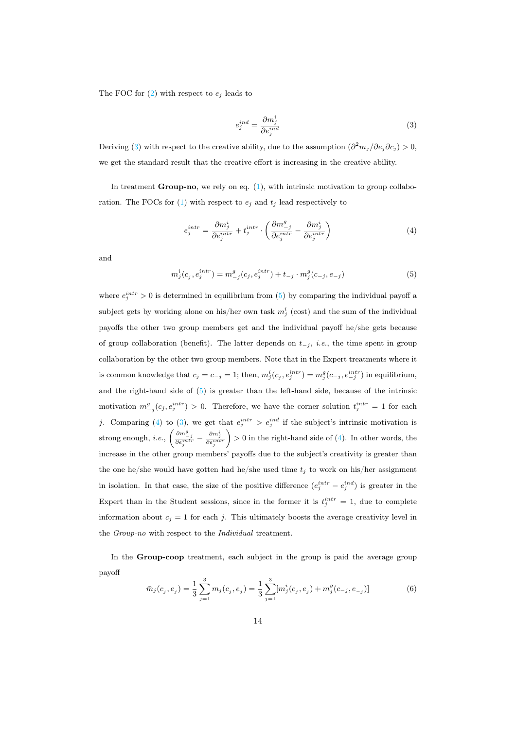<span id="page-14-0"></span>The FOC for  $(2)$  with respect to  $e_i$  leads to

<span id="page-14-2"></span>
$$
e_j^{ind} = \frac{\partial m_j^i}{\partial e_j^{ind}} \tag{3}
$$

Deriving [\(3\)](#page-14-0) with respect to the creative ability, due to the assumption  $\left(\frac{\partial^2 m_j}{\partial e_j \partial c_j}\right) > 0$ , we get the standard result that the creative effort is increasing in the creative ability.

In treatment **Group-no**, we rely on eq.  $(1)$ , with intrinsic motivation to group collabo-ration. The FOCs for [\(1\)](#page-13-0) with respect to  $e_j$  and  $t_j$  lead respectively to

$$
e_j^{intr} = \frac{\partial m_j^i}{\partial e_j^{intr}} + t_j^{intr} \cdot \left(\frac{\partial m_{-j}^g}{\partial e_j^{intr}} - \frac{\partial m_j^i}{\partial e_j^{intr}}\right)
$$
(4)

<span id="page-14-1"></span>and

$$
m_j^i(c_j, e_j^{intr}) = m_{-j}^g(c_j, e_j^{intr}) + t_{-j} \cdot m_j^g(c_{-j}, e_{-j})
$$
\n(5)

where  $e_j^{intr} > 0$  is determined in equilibrium from [\(5\)](#page-14-1) by comparing the individual payoff a subject gets by working alone on his/her own task  $m_j^i$  (cost) and the sum of the individual payoffs the other two group members get and the individual payoff he/she gets because of group collaboration (benefit). The latter depends on  $t_{-j}$ , *i.e.*, the time spent in group collaboration by the other two group members. Note that in the Expert treatments where it is common knowledge that  $c_j = c_{-j} = 1$ ; then,  $m_j^i(c_j, e_j^{intr}) = m_j^g(c_{-j}, e_{-j}^{intr})$  in equilibrium, and the right-hand side of [\(5\)](#page-14-1) is greater than the left-hand side, because of the intrinsic motivation  $m_{-j}^g(c_j, e_j^{intr}) > 0$ . Therefore, we have the corner solution  $t_j^{intr} = 1$  for each j. Comparing [\(4\)](#page-14-2) to [\(3\)](#page-14-0), we get that  $e_j^{intr} > e_j^{ind}$  if the subject's intrinsic motivation is strong enough, *i.e.*,  $\left(\frac{\partial m_{-j}^g}{\partial e_j^{intr}} - \frac{\partial m_j^i}{\partial e_j^{intr}}\right)$  $\} > 0$  in the right-hand side of [\(4\)](#page-14-2). In other words, the increase in the other group members' payoffs due to the subject's creativity is greater than the one he/she would have gotten had he/she used time  $t_j$  to work on his/her assignment in isolation. In that case, the size of the positive difference  $(e_j^{intr} - e_j^{ind})$  is greater in the Expert than in the Student sessions, since in the former it is  $t_j^{intr} = 1$ , due to complete information about  $c_j = 1$  for each j. This ultimately boosts the average creativity level in the Group-no with respect to the Individual treatment.

<span id="page-14-3"></span>In the Group-coop treatment, each subject in the group is paid the average group payoff

$$
\bar{m}_j(c_j, e_j) = \frac{1}{3} \sum_{j=1}^3 m_j(c_j, e_j) = \frac{1}{3} \sum_{j=1}^3 [m_j^i(c_j, e_j) + m_j^g(c_{-j}, e_{-j})]
$$
(6)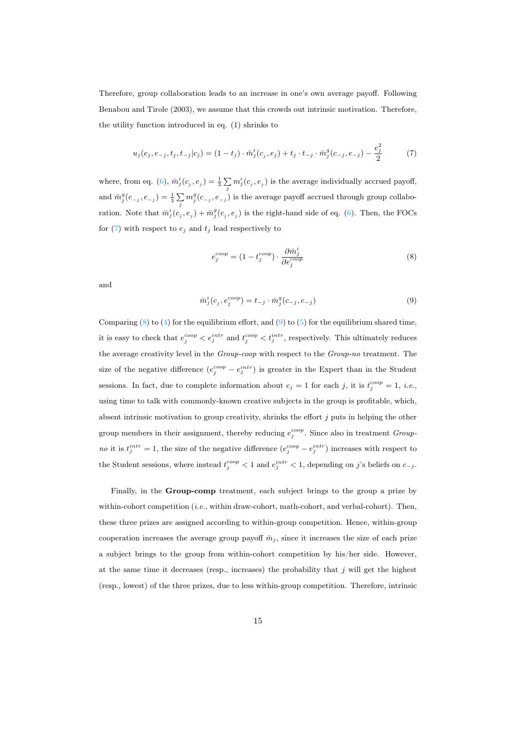Therefore, group collaboration leads to an increase in one's own average payoff. Following Benabou and Tirole (2003), we assume that this crowds out intrinsic motivation. Therefore, the utility function introduced in eq. (1) shrinks to

<span id="page-15-0"></span>
$$
u_j(e_j, e_{-j}, t_j, t_{-j}|c_j) = (1 - t_j) \cdot \bar{m}_j^i(c_j, e_j) + t_j \cdot t_{-j} \cdot \bar{m}_j^g(c_{-j}, e_{-j}) - \frac{e_j^2}{2}
$$
(7)

where, from eq. [\(6\)](#page-14-3),  $\bar{m}_j^i(c_j, e_j) = \frac{1}{3} \sum_j m_j^i(c_j, e_j)$  is the average individually accrued payoff, and  $\bar{m}_j^g(c_{-j}, e_{-j}) = \frac{1}{3} \sum_j m_j^g(c_{-j}, e_{-j})$  is the average payoff accrued through group collaboration. Note that  $\bar{m}_j^i(c_j, e_j) + \bar{m}_j^g(c_j, e_j)$  is the right-hand side of eq. [\(6\)](#page-14-3). Then, the FOCs for  $(7)$  with respect to  $e_j$  and  $t_j$  lead respectively to

<span id="page-15-1"></span>
$$
e_j^{coop} = (1 - t_j^{coop}) \cdot \frac{\partial \bar{m}_j^i}{\partial e_j^{coop}}
$$
\n
$$
(8)
$$

<span id="page-15-2"></span>and

$$
\bar{m}_j^i(c_j, e_j^{coop}) = t_{-j} \cdot \bar{m}_j^g(c_{-j}, e_{-j})
$$
\n(9)

Comparing  $(8)$  to  $(4)$  for the equilibrium effort, and  $(9)$  to  $(5)$  for the equilibrium shared time, it is easy to check that  $e_j^{coop} < e_j^{intr}$  and  $t_j^{coop} < t_j^{intr}$ , respectively. This ultimately reduces the average creativity level in the Group-coop with respect to the Group-no treatment. The size of the negative difference  $(e_j^{coop}-e_j^{intr})$  is greater in the Expert than in the Student sessions. In fact, due to complete information about  $c_j = 1$  for each j, it is  $t_j^{coop} = 1$ , i.e., using time to talk with commonly-known creative subjects in the group is profitable, which, absent intrinsic motivation to group creativity, shrinks the effort  $j$  puts in helping the other group members in their assignment, thereby reducing  $e_j^{coop}$ . Since also in treatment Group*no* it is  $t_j^{intr} = 1$ , the size of the negative difference  $(e_j^{coop} - e_j^{intr})$  increases with respect to the Student sessions, where instead  $t_j^{coop} < 1$  and  $e_j^{intr} < 1$ , depending on j's beliefs on  $c_{-j}$ .

Finally, in the Group-comp treatment, each subject brings to the group a prize by within-cohort competition (*i.e.*, within draw-cohort, math-cohort, and verbal-cohort). Then, these three prizes are assigned according to within-group competition. Hence, within-group cooperation increases the average group payoff  $\bar{m}_i$ , since it increases the size of each prize a subject brings to the group from within-cohort competition by his/her side. However, at the same time it decreases (resp., increases) the probability that  $j$  will get the highest (resp., lowest) of the three prizes, due to less within-group competition. Therefore, intrinsic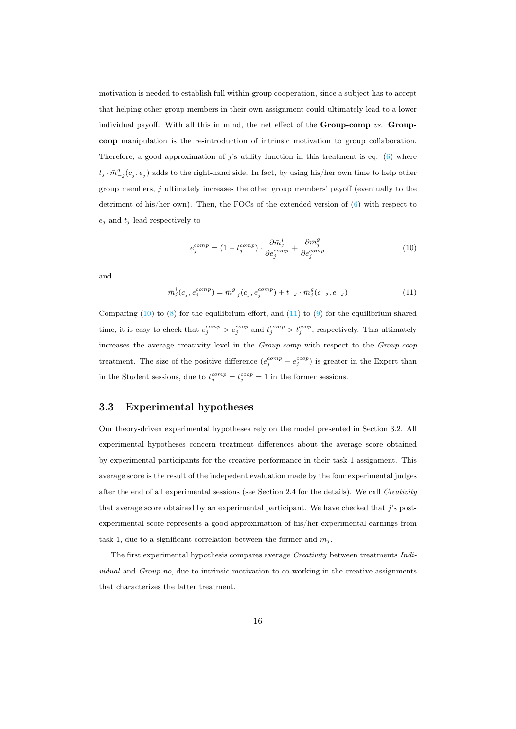motivation is needed to establish full within-group cooperation, since a subject has to accept that helping other group members in their own assignment could ultimately lead to a lower individual payoff. With all this in mind, the net effect of the Group-comp vs. Groupcoop manipulation is the re-introduction of intrinsic motivation to group collaboration. Therefore, a good approximation of j's utility function in this treatment is eq.  $(6)$  where  $t_j \cdot \bar{m}_{-j}^g(c_j, e_j)$  adds to the right-hand side. In fact, by using his/her own time to help other group members, j ultimately increases the other group members' payoff (eventually to the detriment of his/her own). Then, the FOCs of the extended version of  $(6)$  with respect to  $e_j$  and  $t_j$  lead respectively to

<span id="page-16-0"></span>
$$
e_j^{comp} = (1 - t_j^{comp}) \cdot \frac{\partial \bar{m}_j^i}{\partial e_j^{comp}} + \frac{\partial \bar{m}_j^g}{\partial e_j^{comp}} \tag{10}
$$

<span id="page-16-1"></span>and

$$
\bar{m}_j^i(c_j, e_j^{comp}) = \bar{m}_{-j}^g(c_j, e_j^{comp}) + t_{-j} \cdot \bar{m}_j^g(c_{-j}, e_{-j})
$$
\n(11)

Comparing [\(10\)](#page-16-0) to [\(8\)](#page-15-1) for the equilibrium effort, and [\(11\)](#page-16-1) to [\(9\)](#page-15-2) for the equilibrium shared time, it is easy to check that  $e_j^{comp} > e_j^{coop}$  and  $t_j^{comp} > t_j^{coop}$ , respectively. This ultimately increases the average creativity level in the Group-comp with respect to the Group-coop treatment. The size of the positive difference  $(e_j^{comp} - e_j^{coop})$  is greater in the Expert than in the Student sessions, due to  $t_j^{comp} = t_j^{coop} = 1$  in the former sessions.

#### 3.3 Experimental hypotheses

Our theory-driven experimental hypotheses rely on the model presented in Section 3.2. All experimental hypotheses concern treatment differences about the average score obtained by experimental participants for the creative performance in their task-1 assignment. This average score is the result of the indepedent evaluation made by the four experimental judges after the end of all experimental sessions (see Section 2.4 for the details). We call Creativity that average score obtained by an experimental participant. We have checked that  $j$ 's postexperimental score represents a good approximation of his/her experimental earnings from task 1, due to a significant correlation between the former and  $m_i$ .

The first experimental hypothesis compares average Creativity between treatments Individual and Group-no, due to intrinsic motivation to co-working in the creative assignments that characterizes the latter treatment.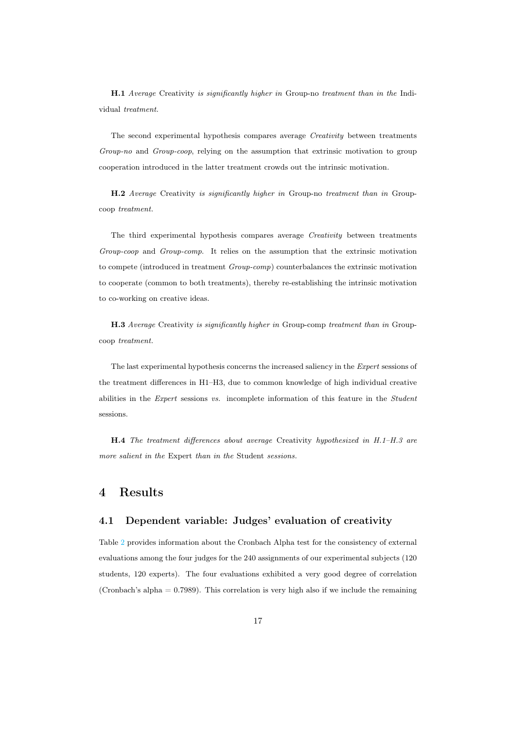H.1 Average Creativity is significantly higher in Group-no treatment than in the Individual treatment.

The second experimental hypothesis compares average Creativity between treatments Group-no and Group-coop, relying on the assumption that extrinsic motivation to group cooperation introduced in the latter treatment crowds out the intrinsic motivation.

H.2 Average Creativity is significantly higher in Group-no treatment than in Groupcoop treatment.

The third experimental hypothesis compares average Creativity between treatments Group-coop and Group-comp. It relies on the assumption that the extrinsic motivation to compete (introduced in treatment Group-comp) counterbalances the extrinsic motivation to cooperate (common to both treatments), thereby re-establishing the intrinsic motivation to co-working on creative ideas.

H.3 Average Creativity is significantly higher in Group-comp treatment than in Groupcoop treatment.

The last experimental hypothesis concerns the increased saliency in the Expert sessions of the treatment differences in H1–H3, due to common knowledge of high individual creative abilities in the Expert sessions vs. incomplete information of this feature in the Student sessions.

H.4 The treatment differences about average Creativity hypothesized in H.1–H.3 are more salient in the Expert than in the Student sessions.

### 4 Results

#### 4.1 Dependent variable: Judges' evaluation of creativity

Table [2](#page-24-0) provides information about the Cronbach Alpha test for the consistency of external evaluations among the four judges for the 240 assignments of our experimental subjects (120 students, 120 experts). The four evaluations exhibited a very good degree of correlation (Cronbach's alpha = 0.7989). This correlation is very high also if we include the remaining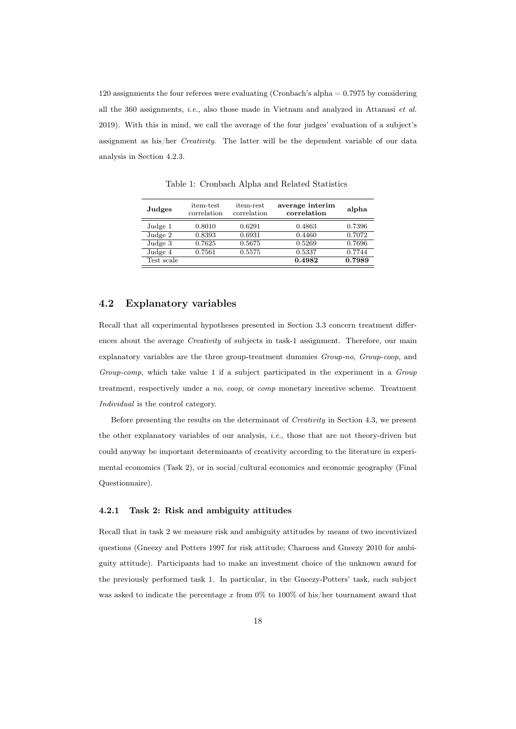120 assignments the four referees were evaluating (Cronbach's alpha = 0.7975 by considering all the 360 assignments, i.e., also those made in Vietnam and analyzed in Attanasi et al. 2019). With this in mind, we call the average of the four judges' evaluation of a subject's assignment as his/her Creativity. The latter will be the dependent variable of our data analysis in Section 4.2.3.

| Judges     | item-test<br>correlation | item-rest<br>correlation | average interim<br>alpha<br>correlation |        |
|------------|--------------------------|--------------------------|-----------------------------------------|--------|
| Judge 1    | 0.8010                   | 0.6291                   | 0.4863                                  | 0.7396 |
| Judge 2    | 0.8393                   | 0.6931                   | 0.4460                                  | 0.7072 |
| Judge 3    | 0.7625                   | 0.5675                   | 0.5269                                  | 0.7696 |
| Judge 4    | 0.7561                   | 0.5575                   | 0.5337                                  | 0.7744 |
| Test scale |                          |                          | 0.4982                                  | 0.7989 |

Table 1: Cronbach Alpha and Related Statistics

#### 4.2 Explanatory variables

Recall that all experimental hypotheses presented in Section 3.3 concern treatment differences about the average Creativity of subjects in task-1 assignment. Therefore, our main explanatory variables are the three group-treatment dummies Group-no, Group-coop, and Group-comp, which take value 1 if a subject participated in the experiment in a Group treatment, respectively under a no, coop, or comp monetary incentive scheme. Treatment Individual is the control category.

Before presenting the results on the determinant of Creativity in Section 4.3, we present the other explanatory variables of our analysis, *i.e.*, those that are not theory-driven but could anyway be important determinants of creativity according to the literature in experimental economics (Task 2), or in social/cultural economics and economic geography (Final Questionnaire).

#### 4.2.1 Task 2: Risk and ambiguity attitudes

Recall that in task 2 we measure risk and ambiguity attitudes by means of two incentivized questions (Gneezy and Potters 1997 for risk attitude; Charness and Gneezy 2010 for ambiguity attitude). Participants had to make an investment choice of the unknown award for the previously performed task 1. In particular, in the Gneezy-Potters' task, each subject was asked to indicate the percentage x from  $0\%$  to  $100\%$  of his/her tournament award that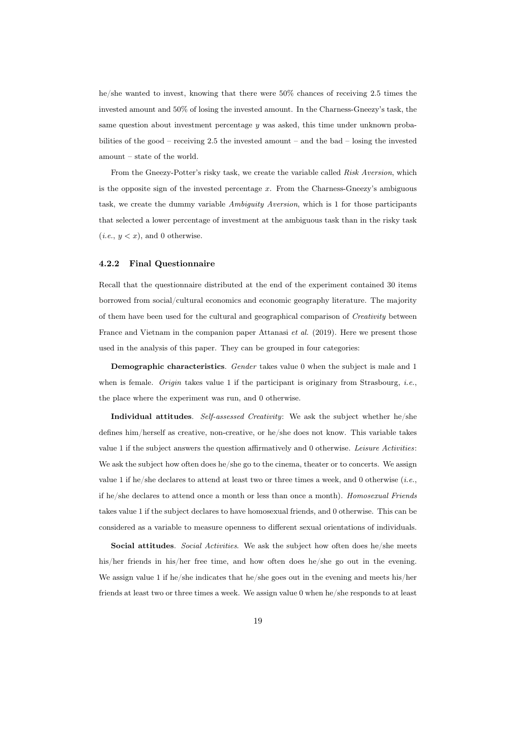he/she wanted to invest, knowing that there were 50% chances of receiving 2.5 times the invested amount and 50% of losing the invested amount. In the Charness-Gneezy's task, the same question about investment percentage y was asked, this time under unknown probabilities of the good – receiving 2.5 the invested amount – and the bad – losing the invested amount – state of the world.

From the Gneezy-Potter's risky task, we create the variable called Risk Aversion, which is the opposite sign of the invested percentage  $x$ . From the Charness-Gneezy's ambiguous task, we create the dummy variable Ambiguity Aversion, which is 1 for those participants that selected a lower percentage of investment at the ambiguous task than in the risky task  $(i.e., y < x)$ , and 0 otherwise.

#### 4.2.2 Final Questionnaire

Recall that the questionnaire distributed at the end of the experiment contained 30 items borrowed from social/cultural economics and economic geography literature. The majority of them have been used for the cultural and geographical comparison of Creativity between France and Vietnam in the companion paper Attanasi et al. (2019). Here we present those used in the analysis of this paper. They can be grouped in four categories:

Demographic characteristics. Gender takes value 0 when the subject is male and 1 when is female. Origin takes value 1 if the participant is originary from Strasbourg, *i.e.*, the place where the experiment was run, and 0 otherwise.

Individual attitudes. Self-assessed Creativity: We ask the subject whether he/she defines him/herself as creative, non-creative, or he/she does not know. This variable takes value 1 if the subject answers the question affirmatively and 0 otherwise. Leisure Activities: We ask the subject how often does he/she go to the cinema, theater or to concerts. We assign value 1 if he/she declares to attend at least two or three times a week, and 0 otherwise (*i.e.*, if he/she declares to attend once a month or less than once a month). Homosexual Friends takes value 1 if the subject declares to have homosexual friends, and 0 otherwise. This can be considered as a variable to measure openness to different sexual orientations of individuals.

Social attitudes. Social Activities. We ask the subject how often does he/she meets his/her friends in his/her free time, and how often does he/she go out in the evening. We assign value 1 if he/she indicates that he/she goes out in the evening and meets his/her friends at least two or three times a week. We assign value 0 when he/she responds to at least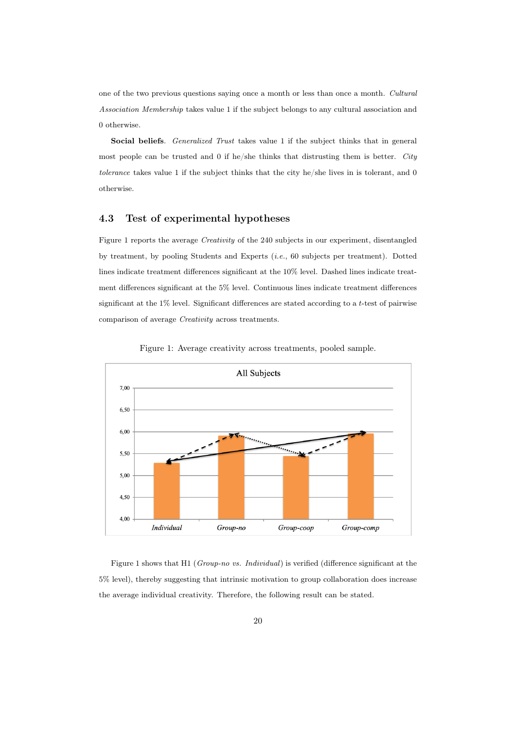one of the two previous questions saying once a month or less than once a month. Cultural Association Membership takes value 1 if the subject belongs to any cultural association and 0 otherwise.

Social beliefs. Generalized Trust takes value 1 if the subject thinks that in general most people can be trusted and 0 if he/she thinks that distrusting them is better. City tolerance takes value 1 if the subject thinks that the city he/she lives in is tolerant, and 0 otherwise.

#### 4.3 Test of experimental hypotheses

Figure 1 reports the average Creativity of the 240 subjects in our experiment, disentangled by treatment, by pooling Students and Experts (i.e., 60 subjects per treatment). Dotted lines indicate treatment differences significant at the 10% level. Dashed lines indicate treatment differences significant at the 5% level. Continuous lines indicate treatment differences significant at the 1% level. Significant differences are stated according to a t-test of pairwise comparison of average Creativity across treatments.





Figure 1 shows that H1 (Group-no vs. Individual) is verified (difference significant at the 5% level), thereby suggesting that intrinsic motivation to group collaboration does increase the average individual creativity. Therefore, the following result can be stated.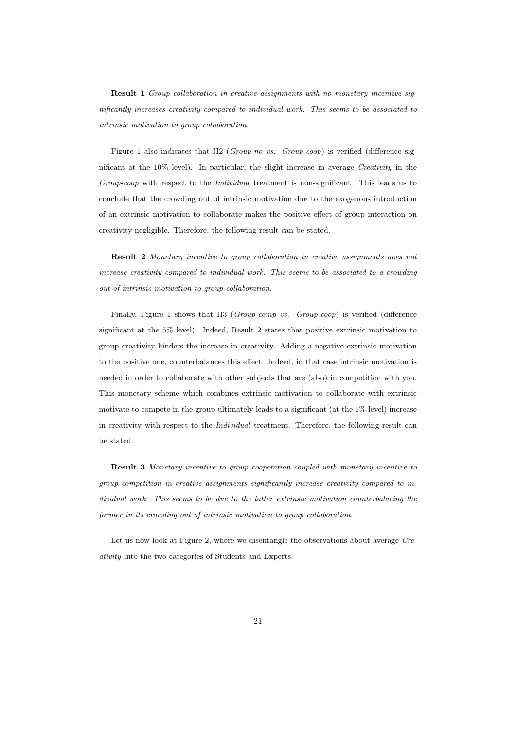Result 1 Group collaboration in creative assignments with no monetary incentive significantly increases creativity compared to individual work. This seems to be associated to intrinsic motivation to group collaboration.

Figure 1 also indicates that H2 (Group-no vs. Group-coop) is verified (difference significant at the  $10\%$  level). In particular, the slight increase in average *Creativity* in the Group-coop with respect to the Individual treatment is non-significant. This leads us to conclude that the crowding out of intrinsic motivation due to the exogenous introduction of an extrinsic motivation to collaborate makes the positive effect of group interaction on creativity negligible. Therefore, the following result can be stated.

Result 2 Monetary incentive to group collaboration in creative assignments does not increase creativity compared to individual work. This seems to be associated to a crowding out of intrinsic motivation to group collaboration.

Finally, Figure 1 shows that H3 (Group-comp vs. Group-coop) is verified (difference significant at the 5% level). Indeed, Result 2 states that positive extrinsic motivation to group creativity hinders the increase in creativity. Adding a negative extrinsic motivation to the positive one, counterbalances this effect. Indeed, in that case intrinsic motivation is needed in order to collaborate with other subjects that are (also) in competition with you. This monetary scheme which combines extrinsic motivation to collaborate with extrinsic motivate to compete in the group ultimately leads to a significant (at the 1% level) increase in creativity with respect to the Individual treatment. Therefore, the following result can be stated.

Result 3 Monetary incentive to group cooperation coupled with monetary incentive to group competition in creative assignments significantly increase creativity compared to individual work. This seems to be due to the latter extrinsic motivation counterbalacing the former in its crowding out of intrinsic motivation to group collaboration.

Let us now look at Figure 2, where we disentangle the observations about average Creativity into the two categories of Students and Experts.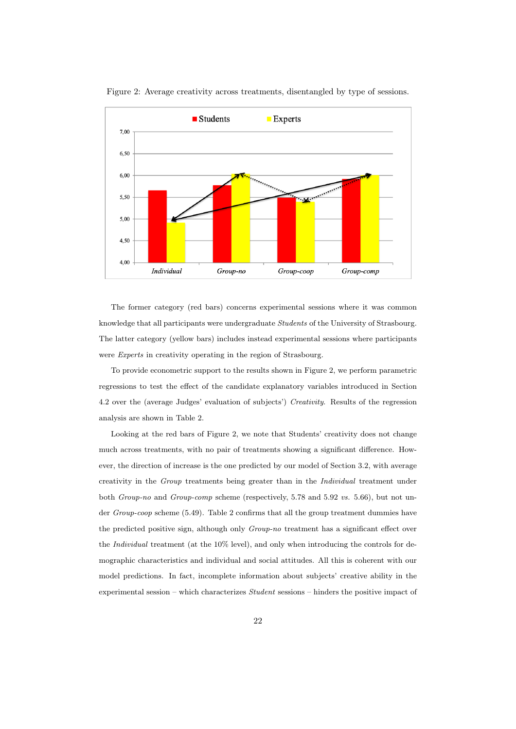

Figure 2: Average creativity across treatments, disentangled by type of sessions.

The former category (red bars) concerns experimental sessions where it was common knowledge that all participants were undergraduate Students of the University of Strasbourg. The latter category (yellow bars) includes instead experimental sessions where participants were Experts in creativity operating in the region of Strasbourg.

To provide econometric support to the results shown in Figure 2, we perform parametric regressions to test the effect of the candidate explanatory variables introduced in Section 4.2 over the (average Judges' evaluation of subjects') Creativity. Results of the regression analysis are shown in Table 2.

Looking at the red bars of Figure 2, we note that Students' creativity does not change much across treatments, with no pair of treatments showing a significant difference. However, the direction of increase is the one predicted by our model of Section 3.2, with average creativity in the Group treatments being greater than in the Individual treatment under both Group-no and Group-comp scheme (respectively, 5.78 and 5.92 vs. 5.66), but not under Group-coop scheme (5.49). Table 2 confirms that all the group treatment dummies have the predicted positive sign, although only Group-no treatment has a significant effect over the Individual treatment (at the 10% level), and only when introducing the controls for demographic characteristics and individual and social attitudes. All this is coherent with our model predictions. In fact, incomplete information about subjects' creative ability in the experimental session – which characterizes Student sessions – hinders the positive impact of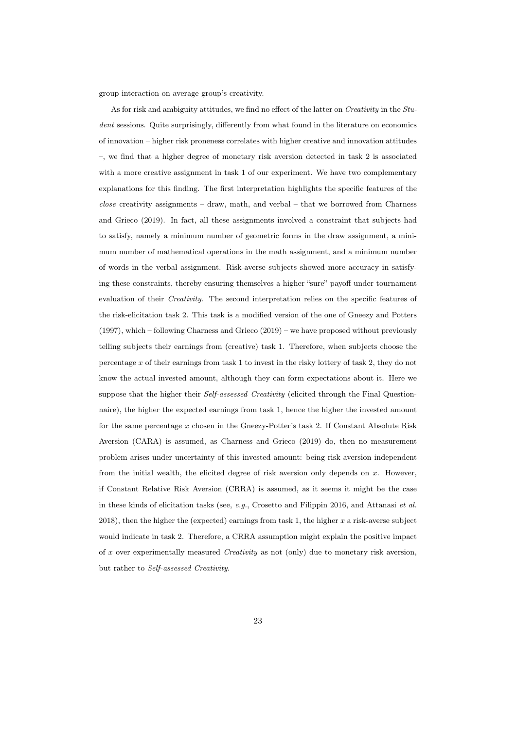group interaction on average group's creativity.

As for risk and ambiguity attitudes, we find no effect of the latter on *Creativity* in the *Stu*dent sessions. Quite surprisingly, differently from what found in the literature on economics of innovation – higher risk proneness correlates with higher creative and innovation attitudes –, we find that a higher degree of monetary risk aversion detected in task 2 is associated with a more creative assignment in task 1 of our experiment. We have two complementary explanations for this finding. The first interpretation highlights the specific features of the  $close$  creativity assignments – draw, math, and verbal – that we borrowed from Charness and Grieco (2019). In fact, all these assignments involved a constraint that subjects had to satisfy, namely a minimum number of geometric forms in the draw assignment, a minimum number of mathematical operations in the math assignment, and a minimum number of words in the verbal assignment. Risk-averse subjects showed more accuracy in satisfying these constraints, thereby ensuring themselves a higher "sure" payoff under tournament evaluation of their Creativity. The second interpretation relies on the specific features of the risk-elicitation task 2. This task is a modified version of the one of Gneezy and Potters (1997), which – following Charness and Grieco (2019) – we have proposed without previously telling subjects their earnings from (creative) task 1. Therefore, when subjects choose the percentage  $x$  of their earnings from task 1 to invest in the risky lottery of task 2, they do not know the actual invested amount, although they can form expectations about it. Here we suppose that the higher their *Self-assessed Creativity* (elicited through the Final Questionnaire), the higher the expected earnings from task 1, hence the higher the invested amount for the same percentage x chosen in the Gneezy-Potter's task 2. If Constant Absolute Risk Aversion (CARA) is assumed, as Charness and Grieco (2019) do, then no measurement problem arises under uncertainty of this invested amount: being risk aversion independent from the initial wealth, the elicited degree of risk aversion only depends on  $x$ . However, if Constant Relative Risk Aversion (CRRA) is assumed, as it seems it might be the case in these kinds of elicitation tasks (see,  $e.g.,$  Crosetto and Filippin 2016, and Attanasi  $et$  al.  $2018$ ), then the higher the (expected) earnings from task 1, the higher x a risk-averse subject would indicate in task 2. Therefore, a CRRA assumption might explain the positive impact of x over experimentally measured *Creativity* as not (only) due to monetary risk aversion, but rather to Self-assessed Creativity.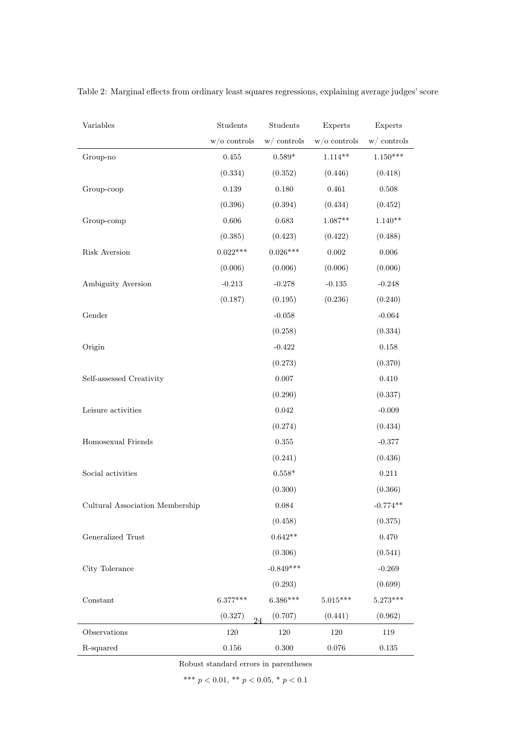| Variables                       | Students       | Students        | Experts        | Experts       |
|---------------------------------|----------------|-----------------|----------------|---------------|
|                                 | $w/o$ controls | $w/$ controls   | $w/o$ controls | $w/$ controls |
| Group-no                        | $0.455\,$      | $0.589*$        | $1.114**$      | $1.150***$    |
|                                 | (0.334)        | (0.352)         | (0.446)        | (0.418)       |
| Group-coop                      | $0.139\,$      | 0.180           | 0.461          | $0.508\,$     |
|                                 | (0.396)        | (0.394)         | (0.434)        | (0.452)       |
| Group-comp                      | 0.606          | 0.683           | $1.087**$      | $1.140**$     |
|                                 | (0.385)        | (0.423)         | (0.422)        | (0.488)       |
| Risk Aversion                   | $0.022***$     | $0.026***$      | $\,0.002\,$    | $0.006\,$     |
|                                 | (0.006)        | (0.006)         | (0.006)        | (0.006)       |
| Ambiguity Aversion              | $-0.213$       | $-0.278$        | $-0.135$       | $-0.248$      |
|                                 | (0.187)        | (0.195)         | (0.236)        | (0.240)       |
| Gender                          |                | $\text{-}0.058$ |                | $-0.064$      |
|                                 |                | (0.258)         |                | (0.334)       |
| Origin                          |                | $-0.422$        |                | $0.158\,$     |
|                                 |                | (0.273)         |                | (0.370)       |
| Self-assessed Creativity        |                | 0.007           |                | $0.410\,$     |
|                                 |                | (0.290)         |                | (0.337)       |
| Leisure activities              |                | 0.042           |                | $-0.009$      |
|                                 |                | (0.274)         |                | (0.434)       |
| Homosexual Friends              |                | $\,0.355\,$     |                | $-0.377$      |
|                                 |                | (0.241)         |                | (0.436)       |
| Social activities               |                | $0.558*$        |                | $0.211\,$     |
|                                 |                | (0.300)         |                | (0.366)       |
| Cultural Association Membership |                | $\,0.084\,$     |                | $-0.774**$    |
|                                 |                | (0.458)         |                | (0.375)       |
| Generalized Trust               |                | $0.642**$       |                | 0.470         |
|                                 |                | (0.306)         |                | (0.541)       |
| City Tolerance                  |                | $-0.849***$     |                | $-0.269$      |
|                                 |                | (0.293)         |                | (0.699)       |
| Constant                        | $6.377***$     | $6.386***$      | $5.015***$     | $5.273***$    |
|                                 | (0.327)<br>24  | (0.707)         | (0.441)        | (0.962)       |
| Observations                    | 120            | $120\,$         | $120\,$        | 119           |
| R-squared                       | $0.156\,$      | 0.300           | $0.076\,$      | $0.135\,$     |

<span id="page-24-0"></span>Table 2: Marginal effects from ordinary least squares regressions, explaining average judges' score

Robust standard errors in parentheses

\*\*\*  $p < 0.01$ , \*\*  $p < 0.05$ , \*  $p < 0.1$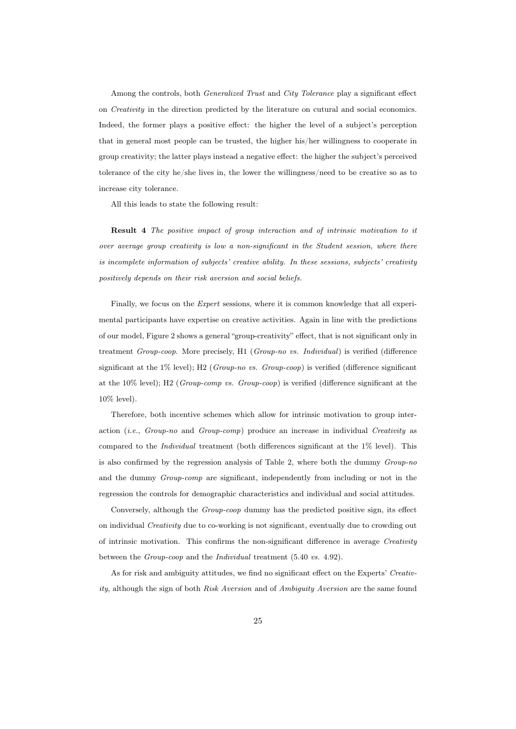Among the controls, both Generalized Trust and City Tolerance play a significant effect on Creativity in the direction predicted by the literature on cutural and social economics. Indeed, the former plays a positive effect: the higher the level of a subject's perception that in general most people can be trusted, the higher his/her willingness to cooperate in group creativity; the latter plays instead a negative effect: the higher the subject's perceived tolerance of the city he/she lives in, the lower the willingness/need to be creative so as to increase city tolerance.

All this leads to state the following result:

Result 4 The positive impact of group interaction and of intrinsic motivation to it over average group creativity is low a non-significant in the Student session, where there is incomplete information of subjects' creative ability. In these sessions, subjects' creativity positively depends on their risk aversion and social beliefs.

Finally, we focus on the *Expert* sessions, where it is common knowledge that all experimental participants have expertise on creative activities. Again in line with the predictions of our model, Figure 2 shows a general "group-creativity" effect, that is not significant only in treatment Group-coop. More precisely, H1 (Group-no vs. Individual) is verified (difference significant at the 1% level); H2 (Group-no vs. Group-coop) is verified (difference significant at the 10% level); H2 (Group-comp vs. Group-coop) is verified (difference significant at the 10% level).

Therefore, both incentive schemes which allow for intrinsic motivation to group interaction (*i.e.*,  $Group\text{-}no$  and  $Group\text{-}comp$ ) produce an increase in individual Creativity as compared to the Individual treatment (both differences significant at the 1% level). This is also confirmed by the regression analysis of Table 2, where both the dummy Group-no and the dummy Group-comp are significant, independently from including or not in the regression the controls for demographic characteristics and individual and social attitudes.

Conversely, although the Group-coop dummy has the predicted positive sign, its effect on individual Creativity due to co-working is not significant, eventually due to crowding out of intrinsic motivation. This confirms the non-significant difference in average Creativity between the Group-coop and the Individual treatment (5.40 vs. 4.92).

As for risk and ambiguity attitudes, we find no significant effect on the Experts' Creativity, although the sign of both Risk Aversion and of Ambiguity Aversion are the same found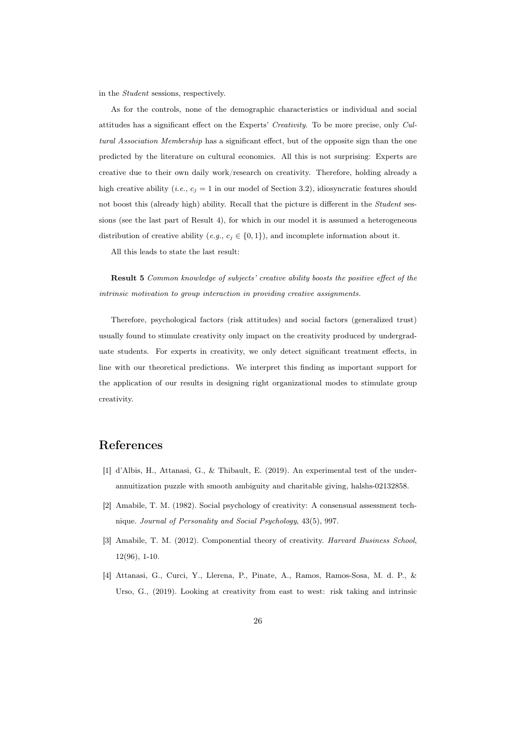in the Student sessions, respectively.

As for the controls, none of the demographic characteristics or individual and social attitudes has a significant effect on the Experts' Creativity. To be more precise, only Cultural Association Membership has a significant effect, but of the opposite sign than the one predicted by the literature on cultural economics. All this is not surprising: Experts are creative due to their own daily work/research on creativity. Therefore, holding already a high creative ability (*i.e.*,  $c_j = 1$  in our model of Section 3.2), idiosyncratic features should not boost this (already high) ability. Recall that the picture is different in the Student sessions (see the last part of Result 4), for which in our model it is assumed a heterogeneous distribution of creative ability (e.g.,  $c_j \in \{0,1\}$ ), and incomplete information about it.

All this leads to state the last result:

Result 5 Common knowledge of subjects' creative ability boosts the positive effect of the intrinsic motivation to group interaction in providing creative assignments.

Therefore, psychological factors (risk attitudes) and social factors (generalized trust) usually found to stimulate creativity only impact on the creativity produced by undergraduate students. For experts in creativity, we only detect significant treatment effects, in line with our theoretical predictions. We interpret this finding as important support for the application of our results in designing right organizational modes to stimulate group creativity.

### References

- [1] d'Albis, H., Attanasi, G., & Thibault, E. (2019). An experimental test of the underannuitization puzzle with smooth ambiguity and charitable giving, halshs-02132858.
- [2] Amabile, T. M. (1982). Social psychology of creativity: A consensual assessment technique. Journal of Personality and Social Psychology, 43(5), 997.
- [3] Amabile, T. M. (2012). Componential theory of creativity. Harvard Business School, 12(96), 1-10.
- [4] Attanasi, G., Curci, Y., Llerena, P., Pinate, A., Ramos, Ramos-Sosa, M. d. P., & Urso, G., (2019). Looking at creativity from east to west: risk taking and intrinsic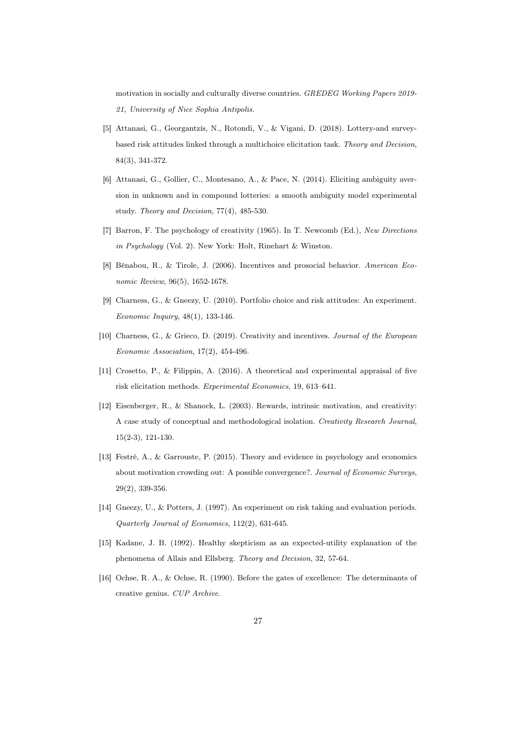motivation in socially and culturally diverse countries. GREDEG Working Papers 2019- 21, University of Nice Sophia Antipolis.

- [5] Attanasi, G., Georgantzís, N., Rotondi, V., & Vigani, D. (2018). Lottery-and surveybased risk attitudes linked through a multichoice elicitation task. Theory and Decision, 84(3), 341-372.
- [6] Attanasi, G., Gollier, C., Montesano, A., & Pace, N. (2014). Eliciting ambiguity aversion in unknown and in compound lotteries: a smooth ambiguity model experimental study. Theory and Decision, 77(4), 485-530.
- [7] Barron, F. The psychology of creativity (1965). In T. Newcomb (Ed.), New Directions in Psychology (Vol. 2). New York: Holt, Rinehart & Winston.
- [8] Bénabou, R., & Tirole, J. (2006). Incentives and prosocial behavior. American Economic Review, 96(5), 1652-1678.
- [9] Charness, G., & Gneezy, U. (2010). Portfolio choice and risk attitudes: An experiment. Economic Inquiry, 48(1), 133-146.
- [10] Charness, G., & Grieco, D. (2019). Creativity and incentives. Journal of the European Economic Association, 17(2), 454-496.
- [11] Crosetto, P., & Filippin, A. (2016). A theoretical and experimental appraisal of five risk elicitation methods. Experimental Economics, 19, 613–641.
- [12] Eisenberger, R., & Shanock, L. (2003). Rewards, intrinsic motivation, and creativity: A case study of conceptual and methodological isolation. Creativity Research Journal, 15(2-3), 121-130.
- [13] Festré, A., & Garrouste, P. (2015). Theory and evidence in psychology and economics about motivation crowding out: A possible convergence?. Journal of Economic Surveys, 29(2), 339-356.
- [14] Gneezy, U., & Potters, J. (1997). An experiment on risk taking and evaluation periods. Quarterly Journal of Economics, 112(2), 631-645.
- [15] Kadane, J. B. (1992). Healthy skepticism as an expected-utility explanation of the phenomena of Allais and Ellsberg. Theory and Decision, 32, 57-64.
- [16] Ochse, R. A., & Ochse, R. (1990). Before the gates of excellence: The determinants of creative genius. CUP Archive.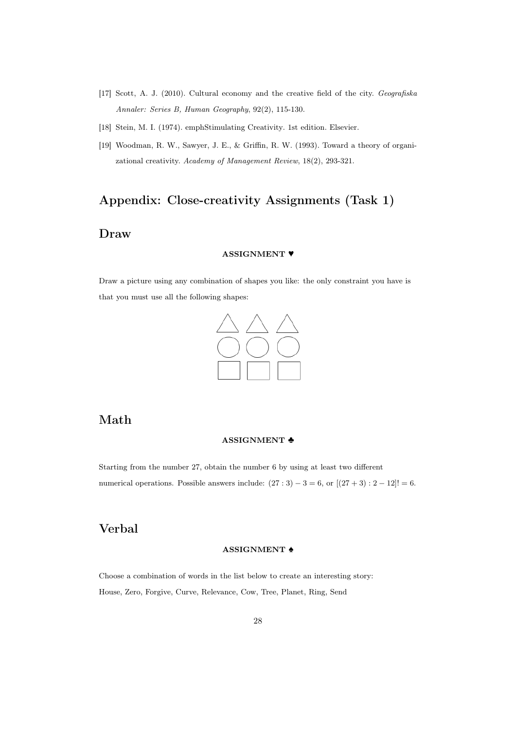- [17] Scott, A. J. (2010). Cultural economy and the creative field of the city. Geografiska Annaler: Series B, Human Geography, 92(2), 115-130.
- [18] Stein, M. I. (1974). emphStimulating Creativity. 1st edition. Elsevier.
- [19] Woodman, R. W., Sawyer, J. E., & Griffin, R. W. (1993). Toward a theory of organizational creativity. Academy of Management Review, 18(2), 293-321.

# Appendix: Close-creativity Assignments (Task 1)

## Draw

#### ASSIGNMENT ♥

Draw a picture using any combination of shapes you like: the only constraint you have is that you must use all the following shapes:



# Math

#### ASSIGNMENT ♣

Starting from the number 27, obtain the number 6 by using at least two different numerical operations. Possible answers include:  $(27:3) - 3 = 6$ , or  $[(27+3):2-12] = 6$ .

# Verbal

#### ASSIGNMENT ♠

Choose a combination of words in the list below to create an interesting story: House, Zero, Forgive, Curve, Relevance, Cow, Tree, Planet, Ring, Send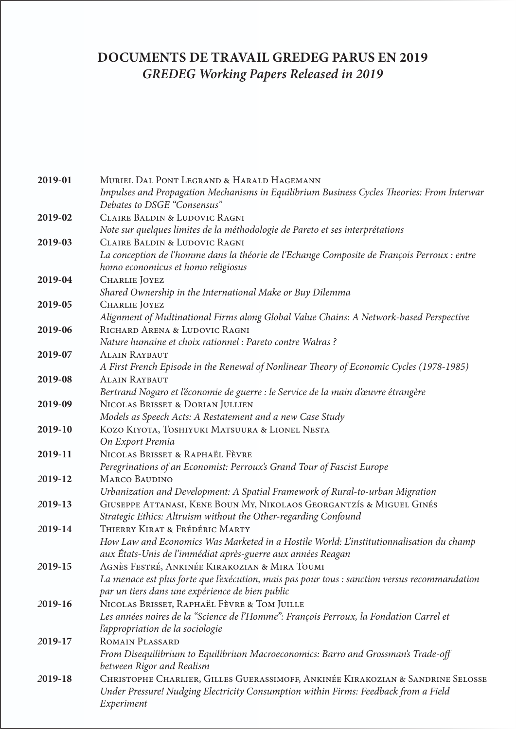# **DOCUMENTS DE TRAVAIL GREDEG PARUS EN 2019** *GREDEG Working Papers Released in 2019*

| 2019-01 | MURIEL DAL PONT LEGRAND & HARALD HAGEMANN                                                     |
|---------|-----------------------------------------------------------------------------------------------|
|         | Impulses and Propagation Mechanisms in Equilibrium Business Cycles Theories: From Interwar    |
|         | Debates to DSGE "Consensus"                                                                   |
| 2019-02 | CLAIRE BALDIN & LUDOVIC RAGNI                                                                 |
|         | Note sur quelques limites de la méthodologie de Pareto et ses interprétations                 |
| 2019-03 | <b>CLAIRE BALDIN &amp; LUDOVIC RAGNI</b>                                                      |
|         | La conception de l'homme dans la théorie de l'Echange Composite de François Perroux : entre   |
|         | homo economicus et homo religiosus                                                            |
| 2019-04 | <b>CHARLIE</b> JOYEZ                                                                          |
|         | Shared Ownership in the International Make or Buy Dilemma                                     |
| 2019-05 | <b>CHARLIE</b> JOYEZ                                                                          |
|         | Alignment of Multinational Firms along Global Value Chains: A Network-based Perspective       |
| 2019-06 | RICHARD ARENA & LUDOVIC RAGNI                                                                 |
|         | Nature humaine et choix rationnel : Pareto contre Walras ?                                    |
| 2019-07 | <b>ALAIN RAYBAUT</b>                                                                          |
|         | A First French Episode in the Renewal of Nonlinear Theory of Economic Cycles (1978-1985)      |
| 2019-08 | <b>ALAIN RAYBAUT</b>                                                                          |
|         | Bertrand Nogaro et l'économie de guerre : le Service de la main d'œuvre étrangère             |
| 2019-09 | NICOLAS BRISSET & DORIAN JULLIEN                                                              |
|         | Models as Speech Acts: A Restatement and a new Case Study                                     |
| 2019-10 | KOZO KIYOTA, TOSHIYUKI MATSUURA & LIONEL NESTA                                                |
|         | On Export Premia                                                                              |
| 2019-11 | NICOLAS BRISSET & RAPHAËL FÈVRE                                                               |
|         | Peregrinations of an Economist: Perroux's Grand Tour of Fascist Europe                        |
| 2019-12 | <b>MARCO BAUDINO</b>                                                                          |
|         | Urbanization and Development: A Spatial Framework of Rural-to-urban Migration                 |
| 2019-13 | GIUSEPPE ATTANASI, KENE BOUN MY, NIKOLAOS GEORGANTZÍS & MIGUEL GINÉS                          |
|         | Strategic Ethics: Altruism without the Other-regarding Confound                               |
| 2019-14 | THIERRY KIRAT & FRÉDÉRIC MARTY                                                                |
|         | How Law and Economics Was Marketed in a Hostile World: L'institutionnalisation du champ       |
|         | aux États-Unis de l'immédiat après-guerre aux années Reagan                                   |
| 2019-15 | AGNÈS FESTRÉ, ANKINÉE KIRAKOZIAN & MIRA TOUMI                                                 |
|         | La menace est plus forte que l'exécution, mais pas pour tous : sanction versus recommandation |
|         | par un tiers dans une expérience de bien public                                               |
| 2019-16 | NICOLAS BRISSET, RAPHAËL FÈVRE & TOM JUILLE                                                   |
|         | Les années noires de la "Science de l'Homme": François Perroux, la Fondation Carrel et        |
|         | l'appropriation de la sociologie                                                              |
| 2019-17 | <b>ROMAIN PLASSARD</b>                                                                        |
|         | From Disequilibrium to Equilibrium Macroeconomics: Barro and Grossman's Trade-off             |
|         | between Rigor and Realism                                                                     |
| 2019-18 | CHRISTOPHE CHARLIER, GILLES GUERASSIMOFF, ANKINÉE KIRAKOZIAN & SANDRINE SELOSSE               |
|         | Under Pressure! Nudging Electricity Consumption within Firms: Feedback from a Field           |
|         | Experiment                                                                                    |